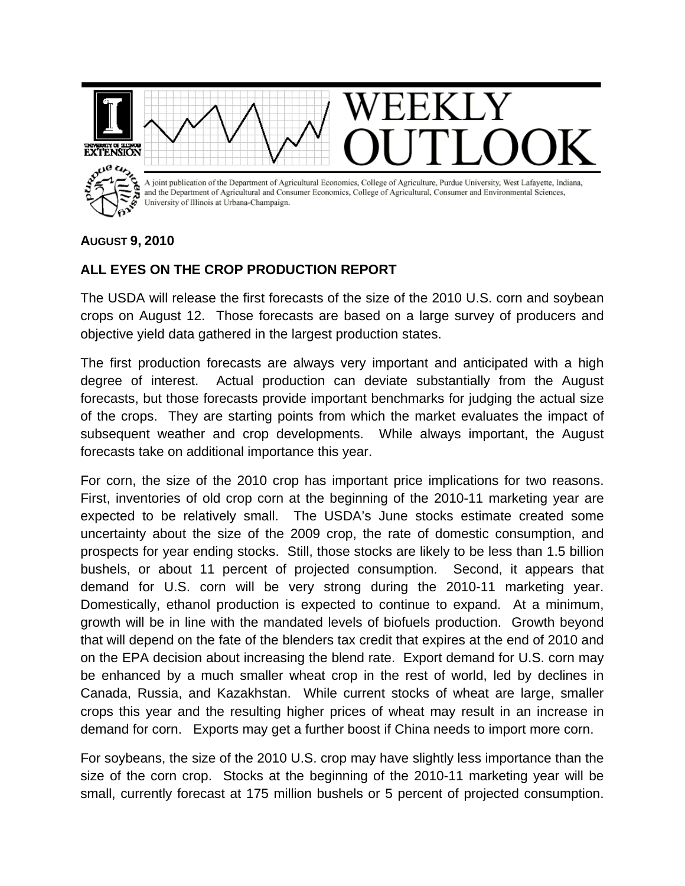

## **AUGUST 9, 2010**

## **ALL EYES ON THE CROP PRODUCTION REPORT**

The USDA will release the first forecasts of the size of the 2010 U.S. corn and soybean crops on August 12. Those forecasts are based on a large survey of producers and objective yield data gathered in the largest production states.

The first production forecasts are always very important and anticipated with a high degree of interest. Actual production can deviate substantially from the August forecasts, but those forecasts provide important benchmarks for judging the actual size of the crops. They are starting points from which the market evaluates the impact of subsequent weather and crop developments. While always important, the August forecasts take on additional importance this year.

For corn, the size of the 2010 crop has important price implications for two reasons. First, inventories of old crop corn at the beginning of the 2010-11 marketing year are expected to be relatively small. The USDA's June stocks estimate created some uncertainty about the size of the 2009 crop, the rate of domestic consumption, and prospects for year ending stocks. Still, those stocks are likely to be less than 1.5 billion bushels, or about 11 percent of projected consumption. Second, it appears that demand for U.S. corn will be very strong during the 2010-11 marketing year. Domestically, ethanol production is expected to continue to expand. At a minimum, growth will be in line with the mandated levels of biofuels production. Growth beyond that will depend on the fate of the blenders tax credit that expires at the end of 2010 and on the EPA decision about increasing the blend rate. Export demand for U.S. corn may be enhanced by a much smaller wheat crop in the rest of world, led by declines in Canada, Russia, and Kazakhstan. While current stocks of wheat are large, smaller crops this year and the resulting higher prices of wheat may result in an increase in demand for corn. Exports may get a further boost if China needs to import more corn.

For soybeans, the size of the 2010 U.S. crop may have slightly less importance than the size of the corn crop. Stocks at the beginning of the 2010-11 marketing year will be small, currently forecast at 175 million bushels or 5 percent of projected consumption.